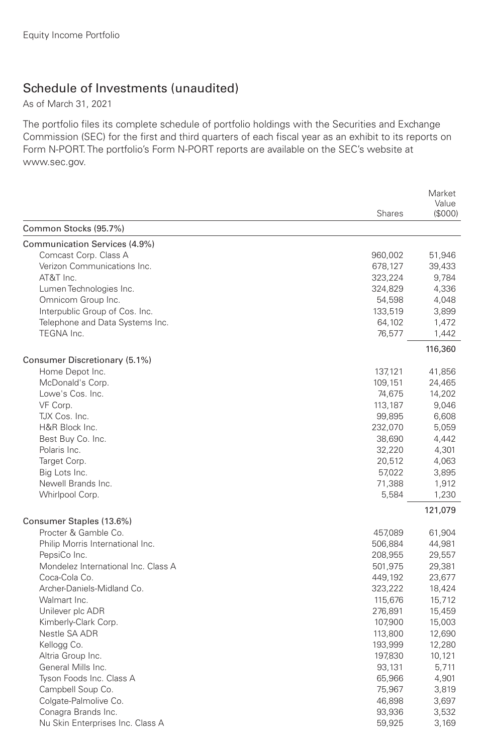## Schedule of Investments (unaudited)

As of March 31, 2021

The portfolio files its complete schedule of portfolio holdings with the Securities and Exchange Commission (SEC) for the first and third quarters of each fiscal year as an exhibit to its reports on Form N-PORT. The portfolio's Form N-PORT reports are available on the SEC's website at www.sec.gov.

|                                     | Market  |                  |
|-------------------------------------|---------|------------------|
|                                     | Shares  | Value<br>(\$000) |
| Common Stocks (95.7%)               |         |                  |
| Communication Services (4.9%)       |         |                  |
| Comcast Corp. Class A               | 960,002 | 51,946           |
| Verizon Communications Inc.         | 678,127 | 39,433           |
| AT&T Inc.                           | 323,224 | 9,784            |
| Lumen Technologies Inc.             | 324,829 | 4,336            |
| Omnicom Group Inc.                  | 54,598  | 4,048            |
| Interpublic Group of Cos. Inc.      | 133,519 | 3,899            |
| Telephone and Data Systems Inc.     | 64,102  | 1,472            |
| TEGNA Inc.                          | 76,577  | 1,442            |
|                                     |         | 116,360          |
| Consumer Discretionary (5.1%)       |         |                  |
| Home Depot Inc.                     | 137,121 | 41,856           |
| McDonald's Corp.                    | 109,151 | 24,465           |
| Lowe's Cos. Inc.                    | 74,675  | 14,202           |
| VF Corp.                            | 113,187 | 9,046            |
| TJX Cos. Inc.                       | 99,895  | 6,608            |
| H&R Block Inc.                      | 232,070 | 5,059            |
| Best Buy Co. Inc.                   | 38,690  | 4,442            |
| Polaris Inc.                        | 32,220  | 4,301            |
| Target Corp.                        | 20,512  | 4,063            |
| Big Lots Inc.                       | 57,022  | 3,895            |
| Newell Brands Inc.                  | 71,388  | 1,912            |
| Whirlpool Corp.                     | 5,584   | 1,230            |
|                                     |         | 121,079          |
| Consumer Staples (13.6%)            |         |                  |
| Procter & Gamble Co.                | 457,089 | 61,904           |
| Philip Morris International Inc.    | 506,884 | 44,981           |
| PepsiCo Inc.                        | 208,955 | 29,557           |
| Mondelez International Inc. Class A | 501,975 | 29,381           |
| Coca-Cola Co.                       | 449,192 | 23,677           |
| Archer-Daniels-Midland Co.          | 323,222 | 18,424           |
| Walmart Inc.                        | 115,676 | 15,712           |
| Unilever plc ADR                    | 276,891 | 15,459           |
| Kimberly-Clark Corp.                | 107,900 | 15,003           |
| Nestle SA ADR                       | 113,800 | 12,690           |
| Kellogg Co.                         | 193,999 | 12,280           |
| Altria Group Inc.                   | 197,830 | 10,121           |
| General Mills Inc.                  | 93,131  | 5,711            |
| Tyson Foods Inc. Class A            | 65,966  | 4,901            |
| Campbell Soup Co.                   | 75,967  | 3,819            |
| Colgate-Palmolive Co.               | 46,898  | 3,697            |
| Conagra Brands Inc.                 | 93,936  | 3,532            |
| Nu Skin Enterprises Inc. Class A    | 59,925  | 3,169            |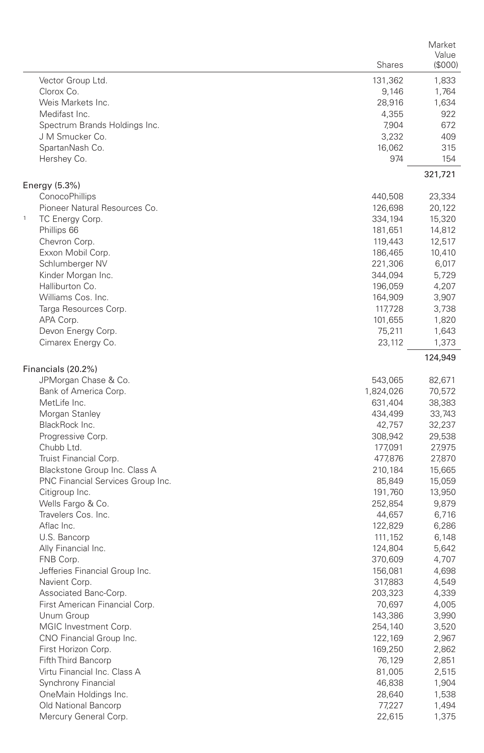|                                   |               | Market           |
|-----------------------------------|---------------|------------------|
|                                   | <b>Shares</b> | Value<br>(\$000) |
|                                   |               |                  |
| Vector Group Ltd.                 | 131,362       | 1,833            |
| Clorox Co.<br>Weis Markets Inc.   | 9,146         | 1,764            |
| Medifast Inc.                     | 28,916        | 1,634            |
| Spectrum Brands Holdings Inc.     | 4,355         | 922              |
| J M Smucker Co.                   | 7,904         | 672<br>409       |
| SpartanNash Co.                   | 3,232         | 315              |
| Hershey Co.                       | 16,062<br>974 | 154              |
|                                   |               |                  |
| Energy (5.3%)                     |               | 321,721          |
| ConocoPhillips                    | 440,508       | 23,334           |
| Pioneer Natural Resources Co.     | 126,698       | 20,122           |
| $\mathbf 1$<br>TC Energy Corp.    | 334,194       | 15,320           |
| Phillips 66                       | 181,651       | 14,812           |
| Chevron Corp.                     | 119,443       | 12,517           |
| Exxon Mobil Corp.                 | 186,465       | 10,410           |
| Schlumberger NV                   | 221,306       | 6,017            |
| Kinder Morgan Inc.                | 344,094       | 5,729            |
| Halliburton Co.                   | 196,059       | 4,207            |
| Williams Cos. Inc.                | 164,909       | 3,907            |
| Targa Resources Corp.             | 117,728       | 3,738            |
| APA Corp.                         | 101,655       | 1,820            |
| Devon Energy Corp.                | 75,211        | 1,643            |
| Cimarex Energy Co.                | 23,112        | 1,373            |
|                                   |               | 124,949          |
| Financials (20.2%)                |               |                  |
| JPMorgan Chase & Co.              | 543,065       | 82,671           |
| Bank of America Corp.             | 1,824,026     | 70,572           |
| MetLife Inc.                      | 631,404       | 38,383           |
| Morgan Stanley                    | 434,499       | 33,743           |
| BlackRock Inc.                    | 42,757        | 32,237           |
| Progressive Corp.                 | 308,942       | 29,538           |
| Chubb Ltd.                        | 177,091       | 27,975           |
| Truist Financial Corp.            | 477,876       | 27,870           |
| Blackstone Group Inc. Class A     | 210,184       | 15,665           |
| PNC Financial Services Group Inc. | 85,849        | 15,059           |
| Citigroup Inc.                    | 191,760       | 13,950           |
| Wells Fargo & Co.                 | 252,854       | 9,879            |
| Travelers Cos. Inc.               | 44,657        | 6,716            |
| Aflac Inc.                        | 122,829       | 6,286            |
| U.S. Bancorp                      | 111,152       | 6,148            |
| Ally Financial Inc.               | 124,804       | 5,642            |
| FNB Corp.                         | 370,609       | 4,707            |
| Jefferies Financial Group Inc.    | 156,081       | 4,698            |
| Navient Corp.                     | 317,883       | 4,549            |
| Associated Banc-Corp.             | 203,323       | 4,339            |
| First American Financial Corp.    | 70,697        | 4,005            |
| Unum Group                        | 143,386       | 3,990            |
| MGIC Investment Corp.             | 254,140       | 3,520            |
| CNO Financial Group Inc.          | 122,169       | 2,967            |
| First Horizon Corp.               | 169,250       | 2,862            |
| Fifth Third Bancorp               | 76,129        | 2,851            |
| Virtu Financial Inc. Class A      | 81,005        | 2,515            |
| Synchrony Financial               | 46,838        | 1,904            |
| OneMain Holdings Inc.             | 28,640        | 1,538            |
| Old National Bancorp              | 77,227        | 1,494            |
| Mercury General Corp.             | 22,615        | 1,375            |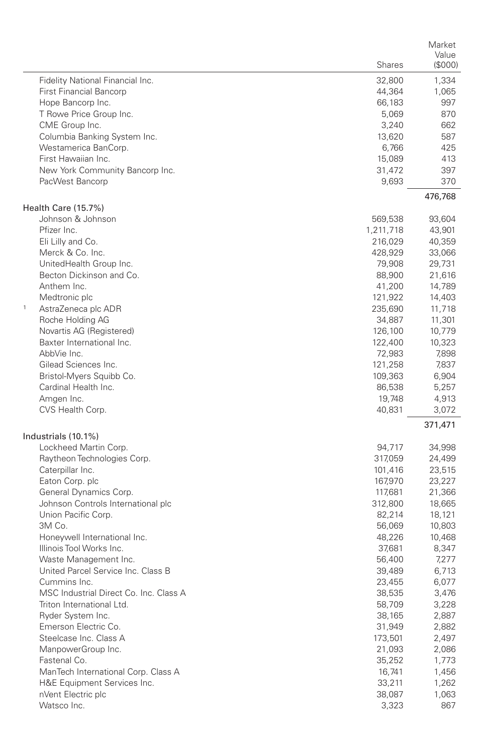|                                        |           | Market  |
|----------------------------------------|-----------|---------|
|                                        |           | Value   |
|                                        | Shares    | (\$000) |
| Fidelity National Financial Inc.       | 32,800    | 1,334   |
| <b>First Financial Bancorp</b>         | 44,364    | 1,065   |
| Hope Bancorp Inc.                      | 66,183    | 997     |
| T Rowe Price Group Inc.                | 5,069     | 870     |
| CME Group Inc.                         | 3,240     | 662     |
| Columbia Banking System Inc.           | 13,620    | 587     |
| Westamerica BanCorp.                   | 6,766     | 425     |
| First Hawaiian Inc.                    | 15,089    | 413     |
| New York Community Bancorp Inc.        | 31,472    | 397     |
| PacWest Bancorp                        | 9,693     | 370     |
|                                        |           | 476,768 |
| Health Care (15.7%)                    |           |         |
| Johnson & Johnson                      | 569,538   | 93,604  |
| Pfizer Inc.                            | 1,211,718 | 43,901  |
| Eli Lilly and Co.                      | 216,029   | 40,359  |
| Merck & Co. Inc.                       | 428,929   | 33,066  |
| UnitedHealth Group Inc.                | 79,908    | 29,731  |
| Becton Dickinson and Co.               | 88,900    | 21,616  |
| Anthem Inc.                            | 41,200    | 14,789  |
| Medtronic plc                          | 121,922   | 14,403  |
| $\mathbf{1}$<br>AstraZeneca plc ADR    | 235,690   | 11,718  |
| Roche Holding AG                       | 34,887    | 11,301  |
| Novartis AG (Registered)               | 126,100   | 10,779  |
| Baxter International Inc.              | 122,400   | 10,323  |
| AbbVie Inc.                            |           |         |
|                                        | 72,983    | 7,898   |
| Gilead Sciences Inc.                   | 121,258   | 7,837   |
| Bristol-Myers Squibb Co.               | 109,363   | 6,904   |
| Cardinal Health Inc.                   | 86,538    | 5,257   |
| Amgen Inc.                             | 19,748    | 4,913   |
| CVS Health Corp.                       | 40,831    | 3,072   |
| Industrials (10.1%)                    |           | 371,471 |
|                                        |           |         |
| Lockheed Martin Corp.                  | 94,717    | 34,998  |
| Raytheon Technologies Corp.            | 317,059   | 24,499  |
| Caterpillar Inc.                       | 101,416   | 23,515  |
| Eaton Corp. plc                        | 167,970   | 23,227  |
| General Dynamics Corp.                 | 117,681   | 21,366  |
| Johnson Controls International plc     | 312,800   | 18,665  |
| Union Pacific Corp.                    | 82,214    | 18,121  |
| 3M Co.                                 | 56,069    | 10,803  |
| Honeywell International Inc.           | 48,226    | 10,468  |
| Illinois Tool Works Inc.               | 37,681    | 8,347   |
| Waste Management Inc.                  | 56,400    | 7,277   |
| United Parcel Service Inc. Class B     | 39,489    | 6,713   |
| Cummins Inc.                           | 23,455    | 6,077   |
| MSC Industrial Direct Co. Inc. Class A | 38,535    | 3,476   |
| Triton International Ltd.              | 58,709    | 3,228   |
| Ryder System Inc.                      | 38,165    | 2,887   |
| Emerson Electric Co.                   | 31,949    | 2,882   |
| Steelcase Inc. Class A                 | 173,501   | 2,497   |
| ManpowerGroup Inc.                     | 21,093    | 2,086   |
| Fastenal Co.                           | 35,252    | 1,773   |
| ManTech International Corp. Class A    | 16,741    | 1,456   |
| H&E Equipment Services Inc.            | 33,211    | 1,262   |
| nVent Electric plc                     | 38,087    |         |
|                                        |           | 1,063   |
| Watsco Inc.                            | 3,323     | 867     |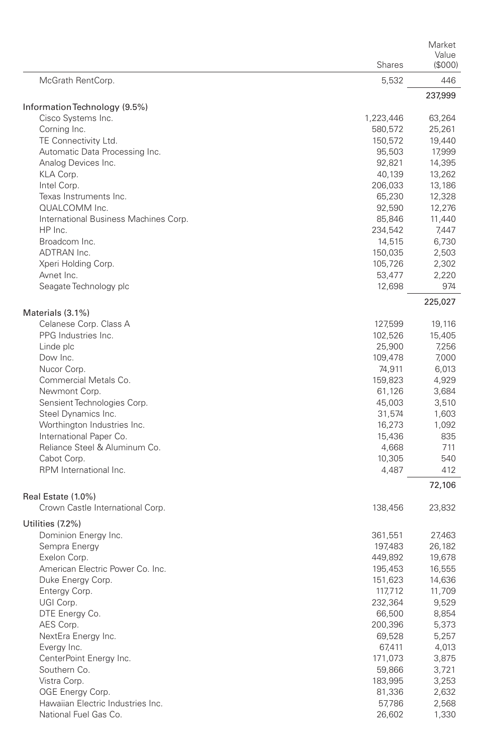|                                                        | Shares    | Market<br>Value<br>(S000) |
|--------------------------------------------------------|-----------|---------------------------|
| McGrath RentCorp.                                      | 5,532     | 446                       |
|                                                        |           | 237,999                   |
| Information Technology (9.5%)                          |           |                           |
| Cisco Systems Inc.                                     | 1,223,446 | 63,264                    |
| Corning Inc.                                           | 580,572   | 25,261                    |
| TE Connectivity Ltd.                                   | 150,572   | 19,440                    |
| Automatic Data Processing Inc.                         | 95,503    | 17,999                    |
| Analog Devices Inc.                                    | 92,821    | 14,395                    |
| KLA Corp.                                              | 40,139    | 13,262                    |
| Intel Corp.                                            | 206,033   | 13,186                    |
| Texas Instruments Inc.                                 | 65,230    | 12,328                    |
| QUALCOMM Inc.                                          | 92,590    | 12,276                    |
| International Business Machines Corp.                  | 85,846    | 11,440                    |
| HP Inc.                                                | 234,542   | 7,447                     |
| Broadcom Inc.                                          | 14,515    | 6,730                     |
| ADTRAN Inc.                                            | 150,035   | 2,503                     |
| Xperi Holding Corp.                                    | 105,726   | 2,302                     |
| Avnet Inc.                                             | 53,477    | 2,220                     |
| Seagate Technology plc                                 | 12,698    | 974                       |
| Materials (3.1%)                                       |           | 225,027                   |
| Celanese Corp. Class A                                 | 127,599   | 19,116                    |
| PPG Industries Inc.                                    | 102,526   | 15,405                    |
| Linde plc                                              | 25,900    | 7,256                     |
| Dow Inc.                                               | 109,478   | 7,000                     |
| Nucor Corp.                                            | 74,911    | 6,013                     |
| Commercial Metals Co.                                  | 159,823   | 4,929                     |
| Newmont Corp.                                          | 61,126    | 3,684                     |
| Sensient Technologies Corp.                            | 45,003    | 3,510                     |
| Steel Dynamics Inc.                                    | 31,574    | 1,603                     |
| Worthington Industries Inc.                            | 16,273    | 1,092                     |
| International Paper Co.                                | 15,436    | 835                       |
| Reliance Steel & Aluminum Co.                          | 4,668     | 711                       |
| Cabot Corp.                                            | 10,305    | 540                       |
| RPM International Inc.                                 | 4,487     | 412                       |
|                                                        |           | 72,106                    |
| Real Estate (1.0%)<br>Crown Castle International Corp. | 138,456   | 23,832                    |
| Utilities (7.2%)                                       |           |                           |
| Dominion Energy Inc.                                   | 361,551   | 27,463                    |
| Sempra Energy                                          | 197,483   | 26,182                    |
| Exelon Corp.                                           | 449,892   | 19,678                    |
| American Electric Power Co. Inc.                       | 195,453   | 16,555                    |
| Duke Energy Corp.                                      | 151,623   | 14,636                    |
| Entergy Corp.                                          | 117,712   | 11,709                    |
| UGI Corp.                                              | 232,364   | 9,529                     |
| DTE Energy Co.                                         | 66,500    | 8,854                     |
| AES Corp.                                              | 200,396   | 5,373                     |
| NextEra Energy Inc.                                    | 69,528    | 5,257                     |
| Evergy Inc.                                            | 67,411    | 4,013                     |
| CenterPoint Energy Inc.                                | 171,073   | 3,875                     |
| Southern Co.                                           | 59,866    | 3,721                     |
| Vistra Corp.                                           | 183,995   | 3,253                     |
| OGE Energy Corp.                                       | 81,336    | 2,632                     |
| Hawaiian Electric Industries Inc.                      | 57,786    | 2,568                     |
| National Fuel Gas Co.                                  | 26,602    | 1,330                     |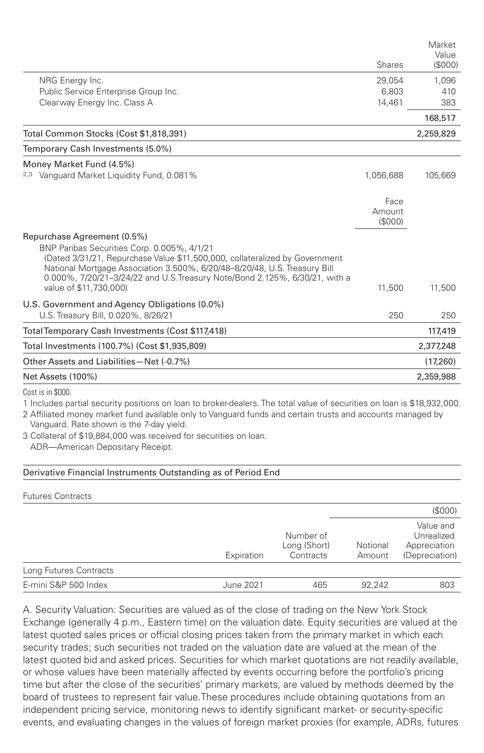|                                                                                                                                                         |           | Market<br>Value |
|---------------------------------------------------------------------------------------------------------------------------------------------------------|-----------|-----------------|
|                                                                                                                                                         | Shares    | (S000)          |
| NRG Energy Inc.                                                                                                                                         | 29,054    | 1,096           |
| Public Service Enterprise Group Inc.                                                                                                                    | 6.803     | 410             |
| Clearway Energy Inc. Class A                                                                                                                            | 14,461    | 383             |
|                                                                                                                                                         |           | 168,517         |
| Total Common Stocks (Cost \$1,818,391)                                                                                                                  |           | 2,259,829       |
| Temporary Cash Investments (5.0%)                                                                                                                       |           |                 |
| Money Market Fund (4.5%)                                                                                                                                |           |                 |
| <sup>2,3</sup> Vanguard Market Liquidity Fund, 0.081%                                                                                                   | 1,056,688 | 105,669         |
|                                                                                                                                                         | Face      |                 |
|                                                                                                                                                         | Amount    |                 |
|                                                                                                                                                         | (S000)    |                 |
| Repurchase Agreement (0.5%)                                                                                                                             |           |                 |
| BNP Paribas Securities Corp. 0.005%, 4/1/21                                                                                                             |           |                 |
| (Dated 3/31/21, Repurchase Value \$11,500,000, collateralized by Government                                                                             |           |                 |
| National Mortgage Association 3.500%, 6/20/48-8/20/48, U.S. Treasury Bill<br>0.000%, 7/20/21-3/24/22 and U.S.Treasury Note/Bond 2.125%, 6/30/21, with a |           |                 |
| value of \$11,730,000)                                                                                                                                  | 11,500    | 11,500          |
| U.S. Government and Agency Obligations (0.0%)                                                                                                           |           |                 |
| U.S. Treasury Bill, 0.020%, 8/26/21                                                                                                                     | 250       | 250             |
| Total Temporary Cash Investments (Cost \$117,418)                                                                                                       |           | 117,419         |
| Total Investments (100.7%) (Cost \$1,935,809)                                                                                                           |           | 2,377,248       |
| Other Assets and Liabilities-Net (-0.7%)                                                                                                                |           | (17,260)        |
| Net Assets (100%)                                                                                                                                       |           | 2,359,988       |
| $\cdots$ $\cdots$                                                                                                                                       |           |                 |

Cost is in \$000.

1 Includes partial security positions on loan to broker-dealers. The total value of securities on loan is \$18,932,000.

2 Affiliated money market fund available only to Vanguard funds and certain trusts and accounts managed by Vanguard. Rate shown is the 7-day yield.

3 Collateral of \$19,884,000 was received for securities on loan.

ADR—American Depositary Receipt.

## Derivative Financial Instruments Outstanding as of Period End

Futures Contracts (\$000) Expiration Number of Long (Short) **Contracts** Notional Amount Value and Unrealized Appreciation (Depreciation) Long Futures Contracts E-mini S&P 500 Index June 2021 465 92,242 803

A. Security Valuation: Securities are valued as of the close of trading on the New York Stock Exchange (generally 4 p.m., Eastern time) on the valuation date. Equity securities are valued at the latest quoted sales prices or official closing prices taken from the primary market in which each security trades; such securities not traded on the valuation date are valued at the mean of the latest quoted bid and asked prices. Securities for which market quotations are not readily available, or whose values have been materially affected by events occurring before the portfolio's pricing time but after the close of the securities' primary markets, are valued by methods deemed by the board of trustees to represent fair value.These procedures include obtaining quotations from an independent pricing service, monitoring news to identify significant market- or security-specific events, and evaluating changes in the values of foreign market proxies (for example, ADRs, futures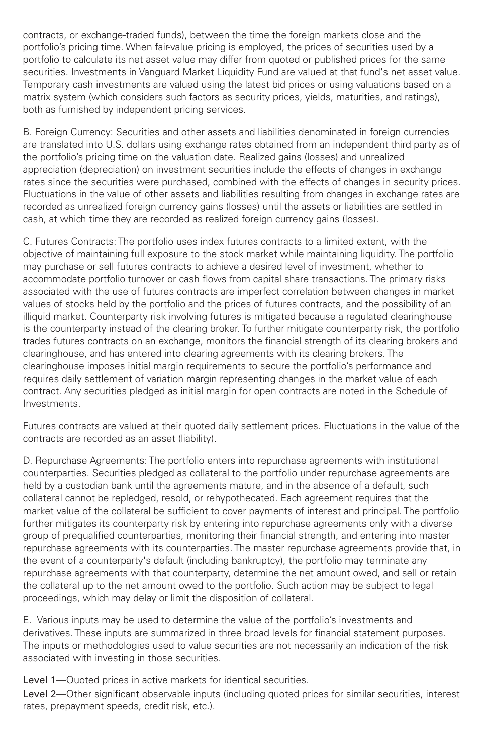contracts, or exchange-traded funds), between the time the foreign markets close and the portfolio's pricing time. When fair-value pricing is employed, the prices of securities used by a portfolio to calculate its net asset value may differ from quoted or published prices for the same securities. Investments in Vanguard Market Liquidity Fund are valued at that fund's net asset value. Temporary cash investments are valued using the latest bid prices or using valuations based on a matrix system (which considers such factors as security prices, yields, maturities, and ratings), both as furnished by independent pricing services.

B. Foreign Currency: Securities and other assets and liabilities denominated in foreign currencies are translated into U.S. dollars using exchange rates obtained from an independent third party as of the portfolio's pricing time on the valuation date. Realized gains (losses) and unrealized appreciation (depreciation) on investment securities include the effects of changes in exchange rates since the securities were purchased, combined with the effects of changes in security prices. Fluctuations in the value of other assets and liabilities resulting from changes in exchange rates are recorded as unrealized foreign currency gains (losses) until the assets or liabilities are settled in cash, at which time they are recorded as realized foreign currency gains (losses).

C. Futures Contracts: The portfolio uses index futures contracts to a limited extent, with the objective of maintaining full exposure to the stock market while maintaining liquidity. The portfolio may purchase or sell futures contracts to achieve a desired level of investment, whether to accommodate portfolio turnover or cash flows from capital share transactions. The primary risks associated with the use of futures contracts are imperfect correlation between changes in market values of stocks held by the portfolio and the prices of futures contracts, and the possibility of an illiquid market. Counterparty risk involving futures is mitigated because a regulated clearinghouse is the counterparty instead of the clearing broker. To further mitigate counterparty risk, the portfolio trades futures contracts on an exchange, monitors the financial strength of its clearing brokers and clearinghouse, and has entered into clearing agreements with its clearing brokers. The clearinghouse imposes initial margin requirements to secure the portfolio's performance and requires daily settlement of variation margin representing changes in the market value of each contract. Any securities pledged as initial margin for open contracts are noted in the Schedule of Investments.

Futures contracts are valued at their quoted daily settlement prices. Fluctuations in the value of the contracts are recorded as an asset (liability).

D. Repurchase Agreements: The portfolio enters into repurchase agreements with institutional counterparties. Securities pledged as collateral to the portfolio under repurchase agreements are held by a custodian bank until the agreements mature, and in the absence of a default, such collateral cannot be repledged, resold, or rehypothecated. Each agreement requires that the market value of the collateral be sufficient to cover payments of interest and principal. The portfolio further mitigates its counterparty risk by entering into repurchase agreements only with a diverse group of prequalified counterparties, monitoring their financial strength, and entering into master repurchase agreements with its counterparties. The master repurchase agreements provide that, in the event of a counterparty's default (including bankruptcy), the portfolio may terminate any repurchase agreements with that counterparty, determine the net amount owed, and sell or retain the collateral up to the net amount owed to the portfolio. Such action may be subject to legal proceedings, which may delay or limit the disposition of collateral.

E. Various inputs may be used to determine the value of the portfolio's investments and derivatives. These inputs are summarized in three broad levels for financial statement purposes. The inputs or methodologies used to value securities are not necessarily an indication of the risk associated with investing in those securities.

Level 1—Quoted prices in active markets for identical securities.

Level 2—Other significant observable inputs (including quoted prices for similar securities, interest rates, prepayment speeds, credit risk, etc.).